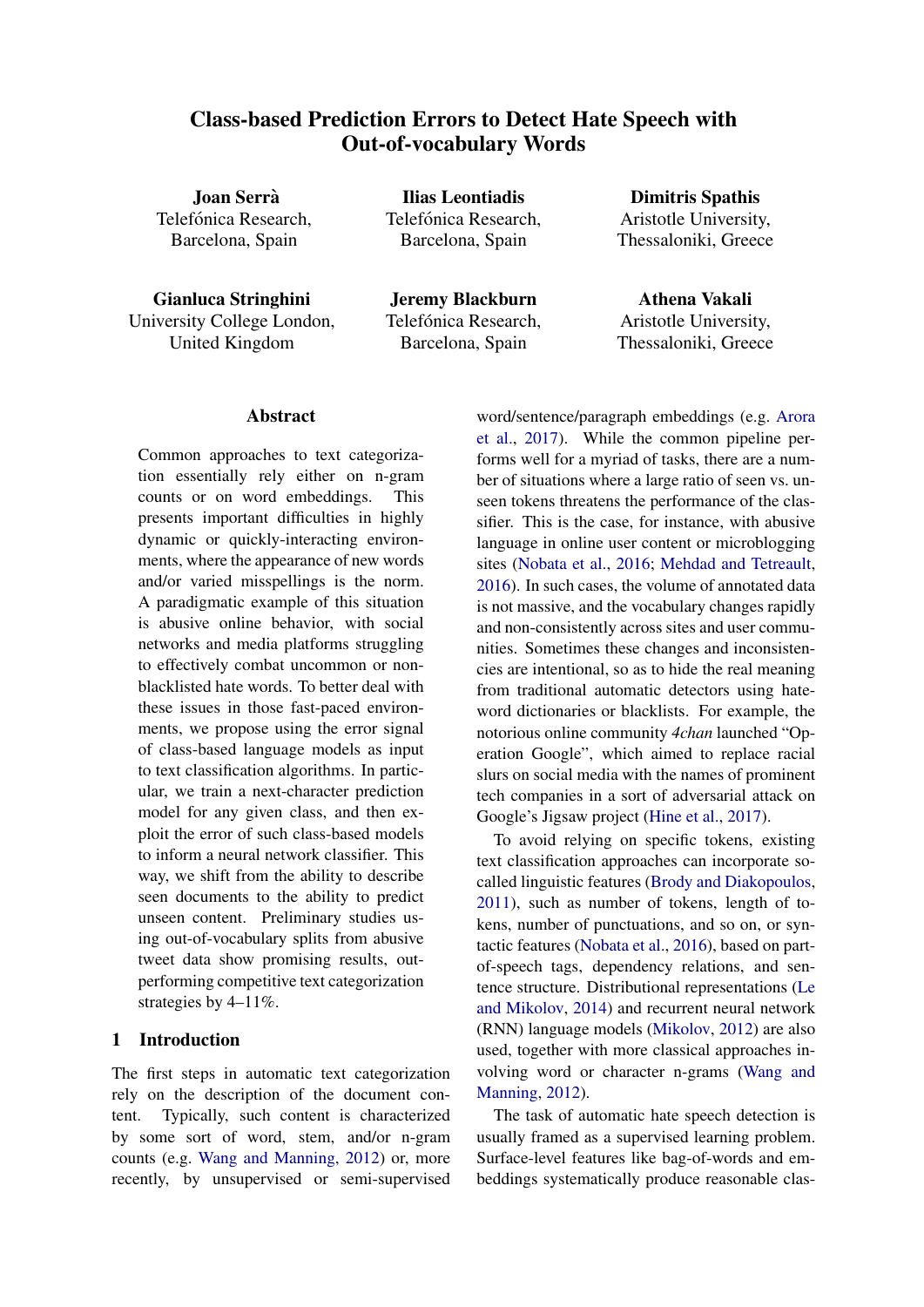# Class-based Prediction Errors to Detect Hate Speech with Out-of-vocabulary Words

Joan Serra` Telefónica Research. Barcelona, Spain

Gianluca Stringhini University College London, United Kingdom

Ilias Leontiadis Telefónica Research. Barcelona, Spain

Jeremy Blackburn Telefónica Research, Barcelona, Spain

Dimitris Spathis Aristotle University, Thessaloniki, Greece

Athena Vakali Aristotle University, Thessaloniki, Greece

# Abstract

Common approaches to text categorization essentially rely either on n-gram counts or on word embeddings. This presents important difficulties in highly dynamic or quickly-interacting environments, where the appearance of new words and/or varied misspellings is the norm. A paradigmatic example of this situation is abusive online behavior, with social networks and media platforms struggling to effectively combat uncommon or nonblacklisted hate words. To better deal with these issues in those fast-paced environments, we propose using the error signal of class-based language models as input to text classification algorithms. In particular, we train a next-character prediction model for any given class, and then exploit the error of such class-based models to inform a neural network classifier. This way, we shift from the ability to describe seen documents to the ability to predict unseen content. Preliminary studies using out-of-vocabulary splits from abusive tweet data show promising results, outperforming competitive text categorization strategies by 4–11%.

## 1 Introduction

The first steps in automatic text categorization rely on the description of the document content. Typically, such content is characterized by some sort of word, stem, and/or n-gram counts (e.g. [Wang and Manning,](#page-4-0) [2012\)](#page-4-0) or, more recently, by unsupervised or semi-supervised

word/sentence/paragraph embeddings (e.g. [Arora](#page-4-1) [et al.,](#page-4-1) [2017\)](#page-4-1). While the common pipeline performs well for a myriad of tasks, there are a number of situations where a large ratio of seen vs. unseen tokens threatens the performance of the classifier. This is the case, for instance, with abusive language in online user content or microblogging sites [\(Nobata et al.,](#page-4-2) [2016;](#page-4-2) [Mehdad and Tetreault,](#page-4-3) [2016\)](#page-4-3). In such cases, the volume of annotated data is not massive, and the vocabulary changes rapidly and non-consistently across sites and user communities. Sometimes these changes and inconsistencies are intentional, so as to hide the real meaning from traditional automatic detectors using hateword dictionaries or blacklists. For example, the notorious online community *4chan* launched "Operation Google", which aimed to replace racial slurs on social media with the names of prominent tech companies in a sort of adversarial attack on Google's Jigsaw project [\(Hine et al.,](#page-4-4) [2017\)](#page-4-4).

To avoid relying on specific tokens, existing text classification approaches can incorporate socalled linguistic features [\(Brody and Diakopoulos,](#page-4-5) [2011\)](#page-4-5), such as number of tokens, length of tokens, number of punctuations, and so on, or syntactic features [\(Nobata et al.,](#page-4-2) [2016\)](#page-4-2), based on partof-speech tags, dependency relations, and sentence structure. Distributional representations [\(Le](#page-4-6) [and Mikolov,](#page-4-6) [2014\)](#page-4-6) and recurrent neural network (RNN) language models [\(Mikolov,](#page-4-7) [2012\)](#page-4-7) are also used, together with more classical approaches involving word or character n-grams [\(Wang and](#page-4-0) [Manning,](#page-4-0) [2012\)](#page-4-0).

The task of automatic hate speech detection is usually framed as a supervised learning problem. Surface-level features like bag-of-words and embeddings systematically produce reasonable clas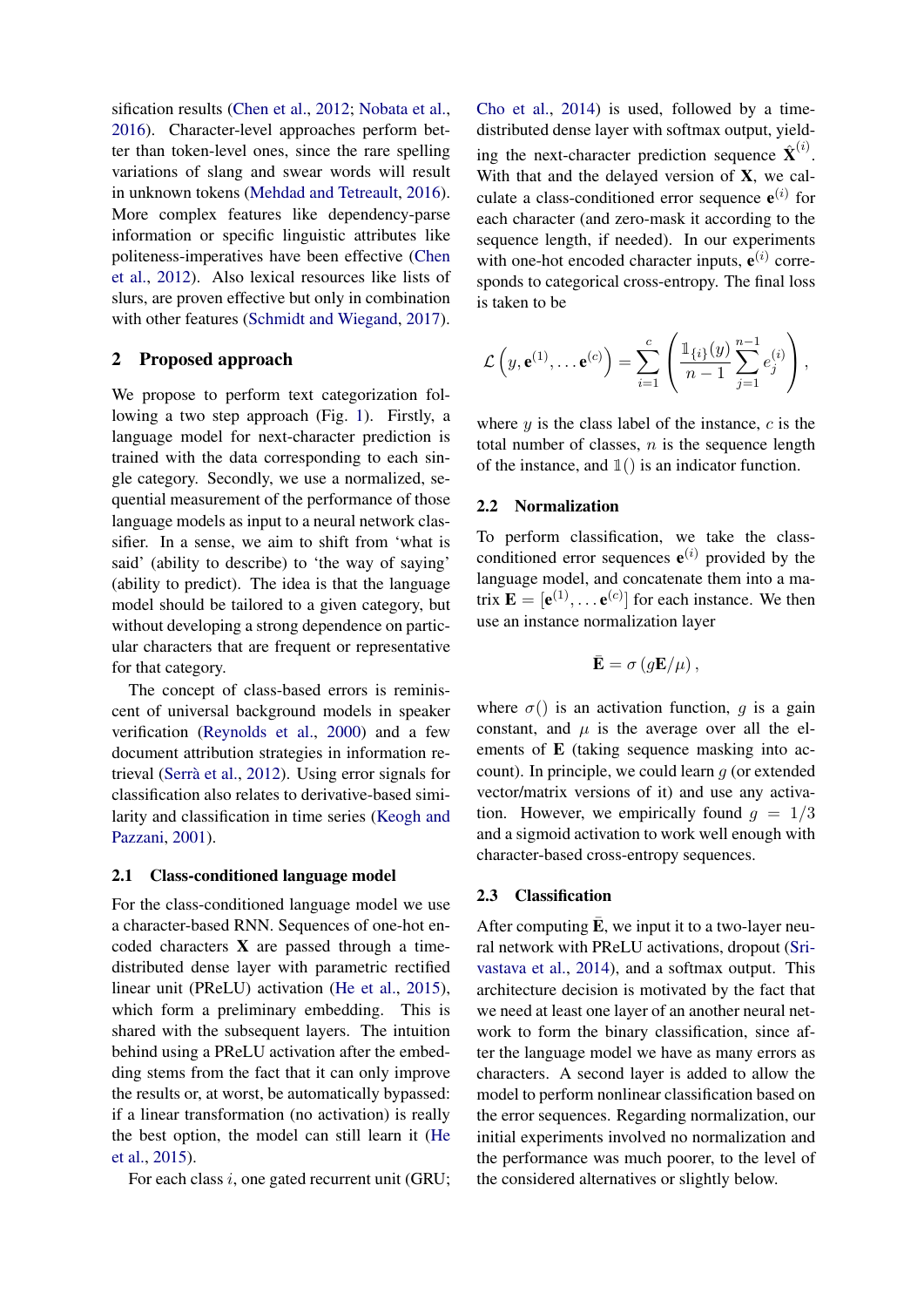sification results [\(Chen et al.,](#page-4-8) [2012;](#page-4-8) [Nobata et al.,](#page-4-2) [2016\)](#page-4-2). Character-level approaches perform better than token-level ones, since the rare spelling variations of slang and swear words will result in unknown tokens [\(Mehdad and Tetreault,](#page-4-3) [2016\)](#page-4-3). More complex features like dependency-parse information or specific linguistic attributes like politeness-imperatives have been effective [\(Chen](#page-4-8) [et al.,](#page-4-8) [2012\)](#page-4-8). Also lexical resources like lists of slurs, are proven effective but only in combination with other features [\(Schmidt and Wiegand,](#page-4-9) [2017\)](#page-4-9).

## 2 Proposed approach

We propose to perform text categorization following a two step approach (Fig. [1\)](#page-2-0). Firstly, a language model for next-character prediction is trained with the data corresponding to each single category. Secondly, we use a normalized, sequential measurement of the performance of those language models as input to a neural network classifier. In a sense, we aim to shift from 'what is said' (ability to describe) to 'the way of saying' (ability to predict). The idea is that the language model should be tailored to a given category, but without developing a strong dependence on particular characters that are frequent or representative for that category.

The concept of class-based errors is reminiscent of universal background models in speaker verification [\(Reynolds et al.,](#page-4-10) [2000\)](#page-4-10) and a few document attribution strategies in information retrieval (Serrà et al.,  $2012$ ). Using error signals for classification also relates to derivative-based similarity and classification in time series [\(Keogh and](#page-4-12) [Pazzani,](#page-4-12) [2001\)](#page-4-12).

## 2.1 Class-conditioned language model

For the class-conditioned language model we use a character-based RNN. Sequences of one-hot encoded characters X are passed through a timedistributed dense layer with parametric rectified linear unit (PReLU) activation [\(He et al.,](#page-4-13) [2015\)](#page-4-13), which form a preliminary embedding. This is shared with the subsequent layers. The intuition behind using a PReLU activation after the embedding stems from the fact that it can only improve the results or, at worst, be automatically bypassed: if a linear transformation (no activation) is really the best option, the model can still learn it [\(He](#page-4-13) [et al.,](#page-4-13) [2015\)](#page-4-13).

For each class  $i$ , one gated recurrent unit (GRU;

[Cho et al.,](#page-4-14) [2014\)](#page-4-14) is used, followed by a timedistributed dense layer with softmax output, yielding the next-character prediction sequence  $\hat{\mathbf{X}}^{(i)}$ . With that and the delayed version of  $X$ , we calculate a class-conditioned error sequence  $e^{(i)}$  for each character (and zero-mask it according to the sequence length, if needed). In our experiments with one-hot encoded character inputs,  $e^{(i)}$  corresponds to categorical cross-entropy. The final loss is taken to be

$$
\mathcal{L}\left(y,\mathbf{e}^{(1)},\ldots\mathbf{e}^{(c)}\right)=\sum_{i=1}^c\left(\frac{\mathbb{1}_{\{i\}}(y)}{n-1}\sum_{j=1}^{n-1}e_j^{(i)}\right),\,
$$

where  $y$  is the class label of the instance,  $c$  is the total number of classes,  $n$  is the sequence length of the instance, and  $\mathbb{1}($ ) is an indicator function.

#### 2.2 Normalization

To perform classification, we take the classconditioned error sequences  $e^{(i)}$  provided by the language model, and concatenate them into a matrix  $\mathbf{E} = [\mathbf{e}^{(1)}, \dots \mathbf{e}^{(c)}]$  for each instance. We then use an instance normalization layer

$$
\bar{\mathbf{E}} = \sigma \left( g \mathbf{E} / \mu \right),
$$

where  $\sigma()$  is an activation function, q is a gain constant, and  $\mu$  is the average over all the elements of E (taking sequence masking into account). In principle, we could learn  $q$  (or extended vector/matrix versions of it) and use any activation. However, we empirically found  $g = 1/3$ and a sigmoid activation to work well enough with character-based cross-entropy sequences.

#### 2.3 Classification

After computing  $\overline{E}$ , we input it to a two-layer neural network with PReLU activations, dropout [\(Sri](#page-4-15)[vastava et al.,](#page-4-15) [2014\)](#page-4-15), and a softmax output. This architecture decision is motivated by the fact that we need at least one layer of an another neural network to form the binary classification, since after the language model we have as many errors as characters. A second layer is added to allow the model to perform nonlinear classification based on the error sequences. Regarding normalization, our initial experiments involved no normalization and the performance was much poorer, to the level of the considered alternatives or slightly below.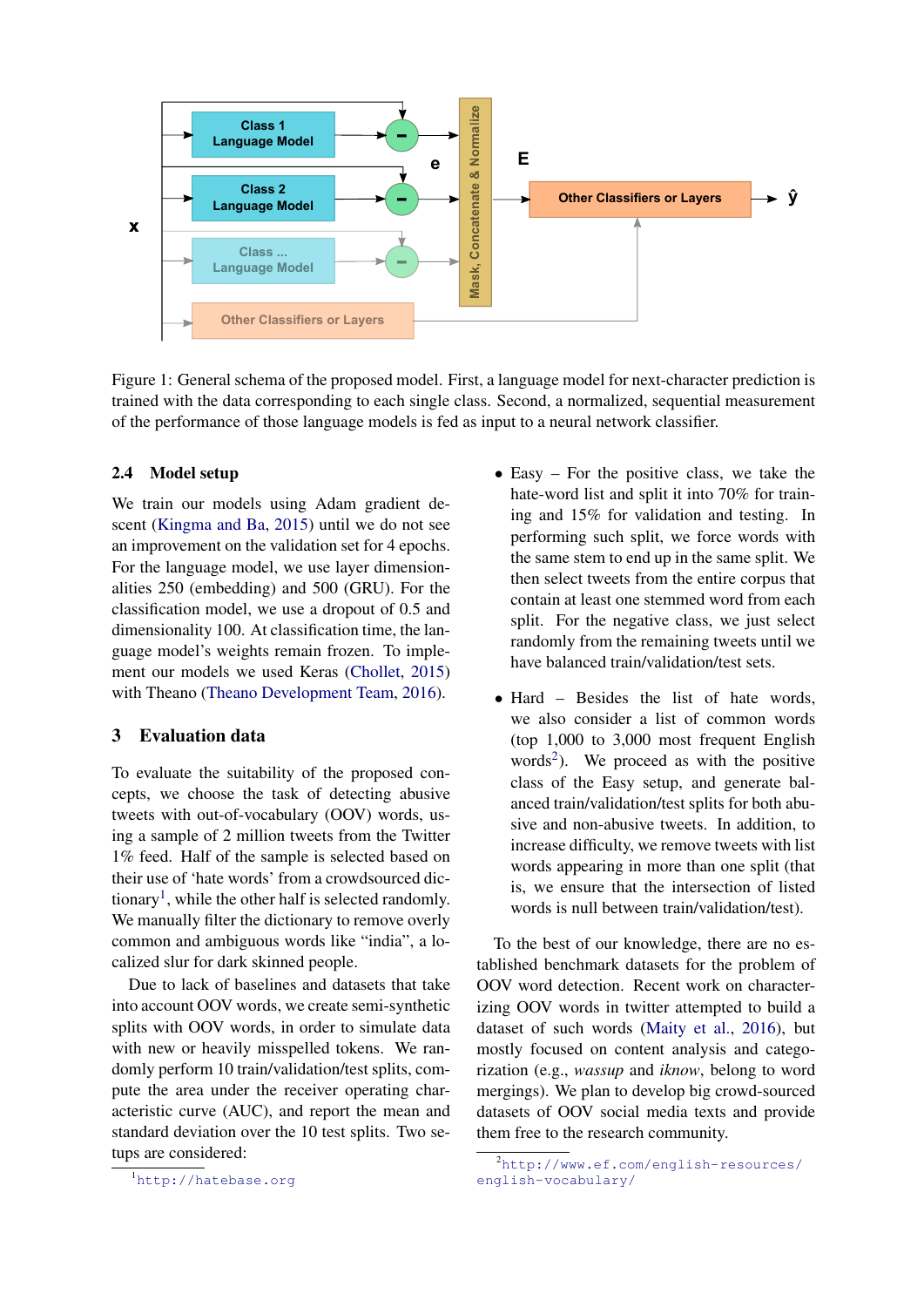

<span id="page-2-0"></span>Figure 1: General schema of the proposed model. First, a language model for next-character prediction is trained with the data corresponding to each single class. Second, a normalized, sequential measurement of the performance of those language models is fed as input to a neural network classifier.

#### 2.4 Model setup

We train our models using Adam gradient descent [\(Kingma and Ba,](#page-4-16) [2015\)](#page-4-16) until we do not see an improvement on the validation set for 4 epochs. For the language model, we use layer dimensionalities 250 (embedding) and 500 (GRU). For the classification model, we use a dropout of 0.5 and dimensionality 100. At classification time, the language model's weights remain frozen. To implement our models we used Keras [\(Chollet,](#page-4-17) [2015\)](#page-4-17) with Theano [\(Theano Development Team,](#page-4-18) [2016\)](#page-4-18).

## 3 Evaluation data

To evaluate the suitability of the proposed concepts, we choose the task of detecting abusive tweets with out-of-vocabulary (OOV) words, using a sample of 2 million tweets from the Twitter 1% feed. Half of the sample is selected based on their use of 'hate words' from a crowdsourced dic-tionary<sup>[1](#page-2-1)</sup>, while the other half is selected randomly. We manually filter the dictionary to remove overly common and ambiguous words like "india", a localized slur for dark skinned people.

Due to lack of baselines and datasets that take into account OOV words, we create semi-synthetic splits with OOV words, in order to simulate data with new or heavily misspelled tokens. We randomly perform 10 train/validation/test splits, compute the area under the receiver operating characteristic curve (AUC), and report the mean and standard deviation over the 10 test splits. Two setups are considered:

- Easy For the positive class, we take the hate-word list and split it into 70% for training and 15% for validation and testing. In performing such split, we force words with the same stem to end up in the same split. We then select tweets from the entire corpus that contain at least one stemmed word from each split. For the negative class, we just select randomly from the remaining tweets until we have balanced train/validation/test sets.
- Hard Besides the list of hate words, we also consider a list of common words (top 1,000 to 3,000 most frequent English words<sup>[2](#page-2-2)</sup>). We proceed as with the positive class of the Easy setup, and generate balanced train/validation/test splits for both abusive and non-abusive tweets. In addition, to increase difficulty, we remove tweets with list words appearing in more than one split (that is, we ensure that the intersection of listed words is null between train/validation/test).

To the best of our knowledge, there are no established benchmark datasets for the problem of OOV word detection. Recent work on characterizing OOV words in twitter attempted to build a dataset of such words [\(Maity et al.,](#page-4-19) [2016\)](#page-4-19), but mostly focused on content analysis and categorization (e.g., *wassup* and *iknow*, belong to word mergings). We plan to develop big crowd-sourced datasets of OOV social media texts and provide them free to the research community.

<span id="page-2-1"></span><sup>1</sup><http://hatebase.org>

<span id="page-2-2"></span><sup>2</sup>[http://www.ef.com/english-resources/](http://www.ef.com/english-resources/english-vocabulary/) [english-vocabulary/](http://www.ef.com/english-resources/english-vocabulary/)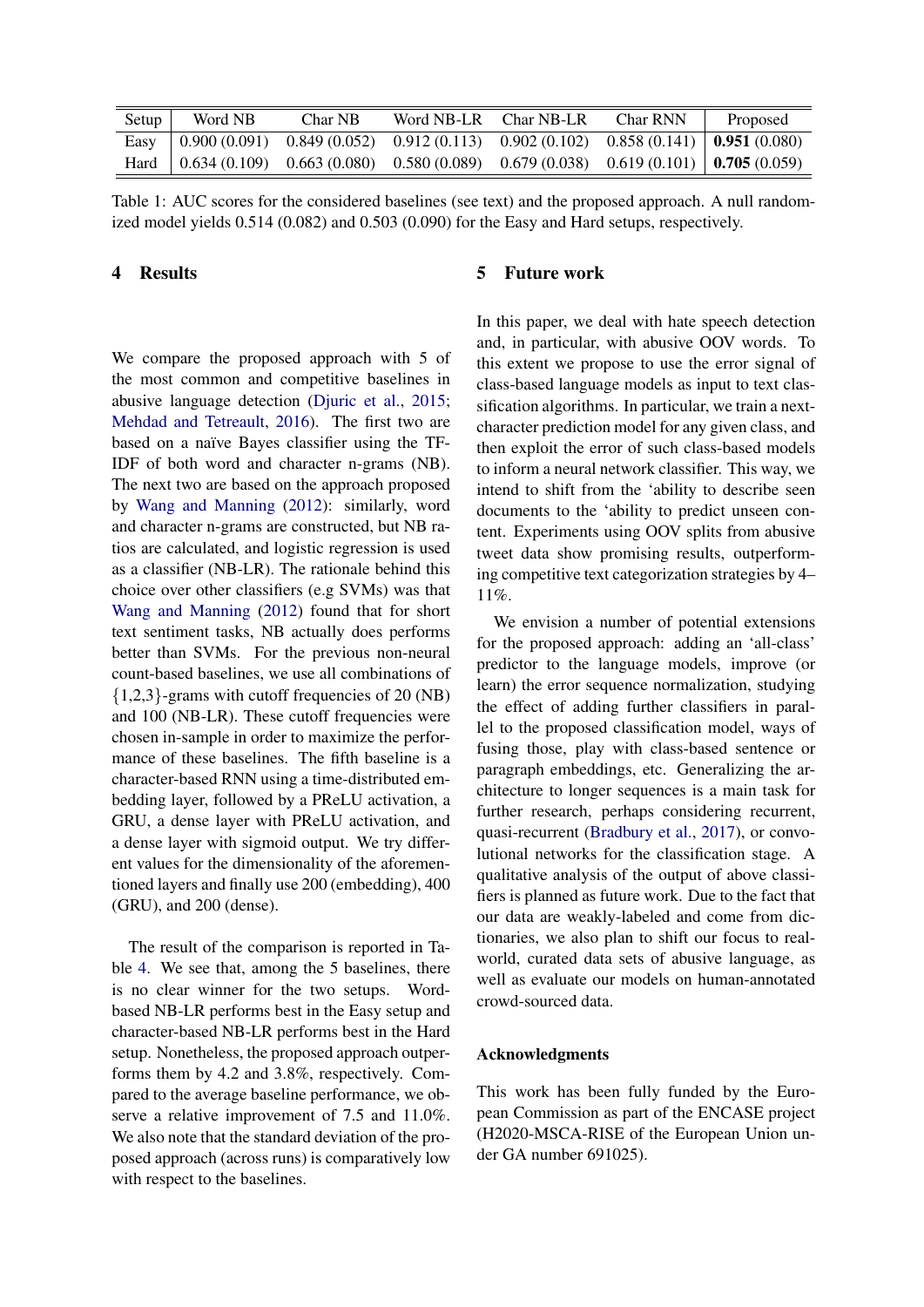| Setup | Word NB | Char NB | Word NB-LR Char NB-LR                                                                                                                                               | <b>Char RNN</b> | Proposed |
|-------|---------|---------|---------------------------------------------------------------------------------------------------------------------------------------------------------------------|-----------------|----------|
|       |         |         | Easy $(0.900(0.091) 0.849(0.052) 0.912(0.113) 0.902(0.102) 0.858(0.141) 0.951(0.080)$                                                                               |                 |          |
|       |         |         | Hard $\begin{array}{ l} 0.634 \ (0.109) \quad 0.663 \ (0.080) \quad 0.580 \ (0.089) \quad 0.679 \ (0.038) \quad 0.619 \ (0.101) \end{array}$   <b>0.705</b> (0.059) |                 |          |

Table 1: AUC scores for the considered baselines (see text) and the proposed approach. A null randomized model yields 0.514 (0.082) and 0.503 (0.090) for the Easy and Hard setups, respectively.

## <span id="page-3-0"></span>4 Results

We compare the proposed approach with 5 of the most common and competitive baselines in abusive language detection [\(Djuric et al.,](#page-4-20) [2015;](#page-4-20) [Mehdad and Tetreault,](#page-4-3) [2016\)](#page-4-3). The first two are based on a naïve Bayes classifier using the TF-IDF of both word and character n-grams (NB). The next two are based on the approach proposed by [Wang and Manning](#page-4-0) [\(2012\)](#page-4-0): similarly, word and character n-grams are constructed, but NB ratios are calculated, and logistic regression is used as a classifier (NB-LR). The rationale behind this choice over other classifiers (e.g SVMs) was that [Wang and Manning](#page-4-0) [\(2012\)](#page-4-0) found that for short text sentiment tasks, NB actually does performs better than SVMs. For the previous non-neural count-based baselines, we use all combinations of  ${1,2,3}$ -grams with cutoff frequencies of 20 (NB) and 100 (NB-LR). These cutoff frequencies were chosen in-sample in order to maximize the performance of these baselines. The fifth baseline is a character-based RNN using a time-distributed embedding layer, followed by a PReLU activation, a GRU, a dense layer with PReLU activation, and a dense layer with sigmoid output. We try different values for the dimensionality of the aforementioned layers and finally use 200 (embedding), 400 (GRU), and 200 (dense).

The result of the comparison is reported in Table [4.](#page-3-0) We see that, among the 5 baselines, there is no clear winner for the two setups. Wordbased NB-LR performs best in the Easy setup and character-based NB-LR performs best in the Hard setup. Nonetheless, the proposed approach outperforms them by 4.2 and 3.8%, respectively. Compared to the average baseline performance, we observe a relative improvement of 7.5 and 11.0%. We also note that the standard deviation of the proposed approach (across runs) is comparatively low with respect to the baselines.

#### 5 Future work

In this paper, we deal with hate speech detection and, in particular, with abusive OOV words. To this extent we propose to use the error signal of class-based language models as input to text classification algorithms. In particular, we train a nextcharacter prediction model for any given class, and then exploit the error of such class-based models to inform a neural network classifier. This way, we intend to shift from the 'ability to describe seen documents to the 'ability to predict unseen content. Experiments using OOV splits from abusive tweet data show promising results, outperforming competitive text categorization strategies by 4– 11%.

We envision a number of potential extensions for the proposed approach: adding an 'all-class' predictor to the language models, improve (or learn) the error sequence normalization, studying the effect of adding further classifiers in parallel to the proposed classification model, ways of fusing those, play with class-based sentence or paragraph embeddings, etc. Generalizing the architecture to longer sequences is a main task for further research, perhaps considering recurrent, quasi-recurrent [\(Bradbury et al.,](#page-4-21) [2017\)](#page-4-21), or convolutional networks for the classification stage. A qualitative analysis of the output of above classifiers is planned as future work. Due to the fact that our data are weakly-labeled and come from dictionaries, we also plan to shift our focus to realworld, curated data sets of abusive language, as well as evaluate our models on human-annotated crowd-sourced data.

#### Acknowledgments

This work has been fully funded by the European Commission as part of the ENCASE project (H2020-MSCA-RISE of the European Union under GA number 691025).